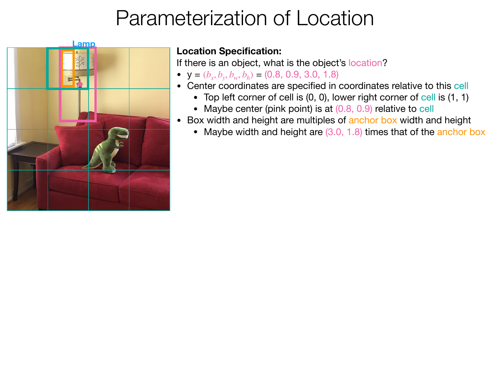

If there is an object, what is the object's location?

- $y = (b_x, b_y, b_w, b_h) = (0.8, 0.9, 3.0, 1.8)$
- Center coordinates are specified in coordinates relative to this cell
	- Top left corner of cell is (0, 0), lower right corner of cell is (1, 1)
	- Maybe center (pink point) is at (0.8, 0.9) relative to cell
- Box width and height are multiples of anchor box width and height
	- Maybe width and height are (3.0, 1.8) times that of the anchor box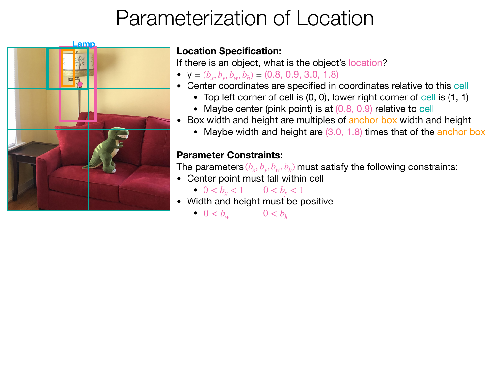

If there is an object, what is the object's location?

- $y = (b_x, b_y, b_w, b_h) = (0.8, 0.9, 3.0, 1.8)$
- Center coordinates are specified in coordinates relative to this cell
	- Top left corner of cell is (0, 0), lower right corner of cell is (1, 1)
	- Maybe center (pink point) is at (0.8, 0.9) relative to cell
- Box width and height are multiples of anchor box width and height
	- Maybe width and height are (3.0, 1.8) times that of the anchor box

## **Parameter Constraints:**

The parameters  $(b_x, b_y, b_w, b_h)$  must satisfy the following constraints:

• Center point must fall within cell

• 
$$
0 < b_x < 1
$$
  $0 < b_y < 1$ 

• Width and height must be positive

$$
\bullet \ \ 0 < b_w \qquad \qquad 0 < b_h
$$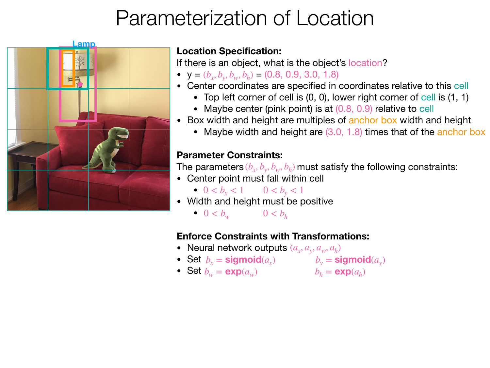

If there is an object, what is the object's location?

- $y = (b_x, b_y, b_w, b_h) = (0.8, 0.9, 3.0, 1.8)$
- Center coordinates are specified in coordinates relative to this cell
	- Top left corner of cell is (0, 0), lower right corner of cell is (1, 1)
	- Maybe center (pink point) is at (0.8, 0.9) relative to cell
- Box width and height are multiples of anchor box width and height
	- Maybe width and height are (3.0, 1.8) times that of the anchor box

### **Parameter Constraints:**

The parameters  $(b_x, b_y, b_w, b_h)$  must satisfy the following constraints:

- Center point must fall within cell
	- $0 < b_x < 1$   $0 < b_y < 1$
- Width and height must be positive

•  $0 < b_w$   $0 < b_h$ 

## **Enforce Constraints with Transformations:**

- Neural network outputs  $(a_x, a_y, a_w, a_h)$
- Set  $b_x =$  **sigmoid** $(a_x)$   $b_y =$  **sigmoid** $(a_y)$
- Set  $b_w = \exp(a_w)$   $b_h = \exp(a_h)$